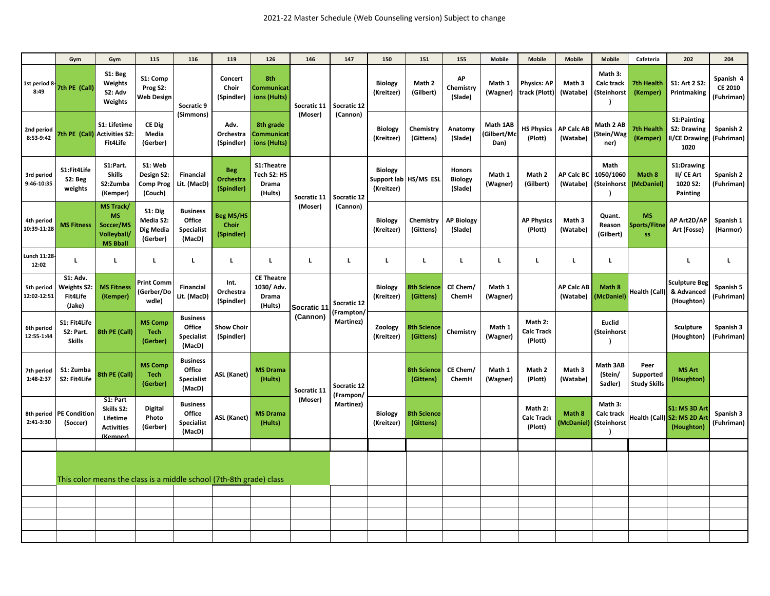|                           | Gym                                                                 | Gym                                                                          | 115                                                  | 116                                                      | 119                                     | 126                                                        | 146                     | 147                                    | 150                                                   | 151                             | 155                                        | <b>Mobile</b>                   | <b>Mobile</b>                           | <b>Mobile</b>                 | <b>Mobile</b>                                            | Cafeteria                                | 202                                                        | 204                                       |
|---------------------------|---------------------------------------------------------------------|------------------------------------------------------------------------------|------------------------------------------------------|----------------------------------------------------------|-----------------------------------------|------------------------------------------------------------|-------------------------|----------------------------------------|-------------------------------------------------------|---------------------------------|--------------------------------------------|---------------------------------|-----------------------------------------|-------------------------------|----------------------------------------------------------|------------------------------------------|------------------------------------------------------------|-------------------------------------------|
| 1st period 8-<br>8:49     | 7th PE (Call)                                                       | S1: Beg<br>Weights<br>S2: Adv<br>Weights                                     | S1: Comp<br>Prog S2:<br><b>Web Design</b>            | Socratic 9<br>(Simmons)                                  | Concert<br>Choir<br>(Spindler)          | 8th<br>Communicat<br>ions (Hults)                          | Socratic 11<br>(Moser)  | Socratic 12<br>(Cannon)                | <b>Biology</b><br>(Kreitzer)                          | Math 2<br>(Gilbert)             | AP<br>Chemistry<br>(Slade)                 | Math 1<br>(Wagner)              | <b>Physics: AP</b><br>track (Plott)     | Math 3<br>(Watabe)            | Math 3:<br><b>Calc track</b><br>(Steinhorst<br>$\lambda$ | <b>7th Health</b><br>(Kemper)            | S1: Art 2 S2:<br>Printmaking                               | Spanish 4<br><b>CE 2010</b><br>(Fuhriman) |
| 2nd period<br>8:53-9:42   |                                                                     | S1: Lifetime<br>7th PE (Call) Activities S2:<br>Fit4Life                     | CE Dig<br>Media<br>(Gerber)                          |                                                          | Adv.<br>Orchestra<br>(Spindler)         | 8th grade<br>Communicat<br>ions (Hults)                    |                         |                                        | <b>Biology</b><br>(Kreitzer)                          | Chemistry<br>(Gittens)          | Anatomy<br>(Slade)                         | Math 1AB<br>(Gilbert/Mc<br>Dan) | <b>HS Physics</b><br>(Plott)            | <b>AP Calc AB</b><br>(Watabe) | Math 2 AB<br>(Stein/Wag<br>ner)                          | <b>7th Health</b><br>(Kemper)            | S1:Painting<br>S2: Drawing<br><b>II/CE Drawing</b><br>1020 | Spanish 2<br>(Fuhriman)                   |
| 3rd period<br>9:46-10:35  | S1:Fit4Life<br>S2: Beg<br>weights                                   | S1:Part.<br><b>Skills</b><br>S2:Zumba<br>(Kemper)                            | S1: Web<br>Design S2:<br><b>Comp Prog</b><br>(Couch) | <b>Financial</b><br>Lit. (MacD)                          | <b>Beg</b><br>Orchestra<br>(Spindler)   | S1:Theatre<br>Tech S2: HS<br>Drama<br>(Hults)              | Socratic 11<br>(Moser)  | Socratic 12<br>(Cannon)                | <b>Biology</b><br>Support lab HS/MS ESL<br>(Kreitzer) |                                 | <b>Honors</b><br><b>Biology</b><br>(Slade) | Math 1<br>(Wagner)              | Math 2<br>(Gilbert)                     | <b>AP Calc BC</b><br>(Watabe) | Math<br>1050/1060<br>(Steinhorst<br>$\lambda$            | Math 8<br>(McDaniel)                     | S1:Drawing<br>II/ CE Art<br>1020 S2:<br>Painting           | Spanish 2<br>(Fuhriman)                   |
| 4th period<br>10:39-11:28 | <b>MS Fitness</b>                                                   | <b>MS Track/</b><br><b>MS</b><br>Soccer/MS<br>Volleyball,<br><b>MS Bball</b> | S1: Dig<br>Media S2:<br>Dig Media<br>(Gerber)        | <b>Business</b><br>Office<br><b>Specialist</b><br>(MacD) | <b>Beg MS/HS</b><br>Choir<br>(Spindler) |                                                            |                         |                                        | <b>Biology</b><br>(Kreitzer)                          | Chemistry<br>(Gittens)          | <b>AP Biology</b><br>(Slade)               |                                 | <b>AP Physics</b><br>(Plott)            | Math 3<br>(Watabe)            | Quant.<br>Reason<br>(Gilbert)                            | <b>MS</b><br>Sports/Fitne<br><b>SS</b>   | AP Art2D/AP<br>Art (Fosse)                                 | Spanish 1<br>(Harmor)                     |
| Lunch 11:28<br>12:02      | $\mathbf{L}$                                                        | $\mathbf L$                                                                  | L                                                    | L.                                                       | L                                       | $\mathbf L$                                                | $\mathbf L$             | L                                      | L.                                                    | L                               | L                                          | L.                              | L                                       | L.                            | $\mathbf L$                                              |                                          | L.                                                         | $\mathbf L$                               |
| 5th period<br>12:02-12:51 | <b>S1: Adv.</b><br><b>Weights S2</b><br><b>Fit4Life</b><br>(Jake)   | <b>MS Fitness</b><br>(Kemper)                                                | <b>Print Comm</b><br>(Gerber/Do<br>wdle)             | <b>Financial</b><br>Lit. (MacD)                          | Int.<br>Orchestra<br>(Spindler)         | <b>CE Theatre</b><br>1030/ Adv.<br><b>Drama</b><br>(Hults) | Socratic 11<br>(Cannon) | Socratic 12<br>(Frampton/<br>Martinez) | <b>Biology</b><br>(Kreitzer)                          | <b>8th Science</b><br>(Gittens) | CE Chem/<br>ChemH                          | Math 1<br>(Wagner)              |                                         | <b>AP Calc AB</b><br>(Watabe) | Math 8<br>(McDaniel)                                     | Health (Call)                            | <b>Sculpture Beg</b><br>& Advanced<br>(Houghton)           | Spanish 5<br>(Fuhriman)                   |
| 6th period<br>12:55-1:44  | S1: Fit4Life<br>S2: Part.<br><b>Skills</b>                          | 8th PE (Call)                                                                | <b>MS Comp</b><br><b>Tech</b><br>(Gerber)            | <b>Business</b><br>Office<br><b>Specialist</b><br>(MacD) | <b>Show Choir</b><br>(Spindler)         |                                                            |                         |                                        | Zoology<br>(Kreitzer)                                 | <b>8th Science</b><br>(Gittens) | Chemistry                                  | Math 1<br>(Wagner)              | Math 2:<br><b>Calc Track</b><br>(Plott) |                               | <b>Euclid</b><br>(Steinhorst<br><sup>1</sup>             |                                          | Sculpture<br>(Houghton)                                    | Spanish 3<br>(Fuhriman)                   |
| 7th period<br>1:48-2:37   | S1: Zumba<br>S2: Fit4Life                                           | 8th PE (Call)                                                                | <b>MS Comp</b><br><b>Tech</b><br>(Gerber)            | <b>Business</b><br>Office<br><b>Specialist</b><br>(MacD) | <b>ASL (Kanet)</b>                      | <b>MS Drama</b><br>(Hults)                                 | Socratic 11<br>(Moser)  | Socratic 12<br>(Frampon/<br>Martinez)  |                                                       | <b>8th Science</b><br>(Gittens) | CE Chem/<br>ChemH                          | Math 1<br>(Wagner)              | Math 2<br>(Plott)                       | Math 3<br>(Watabe)            | Math 3AB<br>(Stein/<br>Sadler)                           | Peer<br>Supported<br><b>Study Skills</b> | <b>MS Art</b><br>(Houghton)                                |                                           |
| 8th period<br>2:41-3:30   | <b>PE Conditior</b><br>(Soccer)                                     | S1: Part<br>Skills S2:<br>Lifetime<br><b>Activities</b><br>(Kemper)          | <b>Digital</b><br>Photo<br>(Gerber)                  | <b>Business</b><br>Office<br><b>Specialist</b><br>(MacD) | <b>ASL (Kanet)</b>                      | <b>MS Drama</b><br>(Hults)                                 |                         |                                        | <b>Biology</b><br>(Kreitzer)                          | <b>8th Science</b><br>(Gittens) |                                            |                                 | Math 2:<br><b>Calc Track</b><br>(Plott) | Math 8<br>(McDaniel)          | Math 3:<br>Calc track<br>(Steinhorst<br>$\lambda$        |                                          | S1: MS 3D Art<br>Health (Call) S2: MS 2D Ar<br>(Houghton)  | Spanish 3<br>(Fuhriman)                   |
|                           |                                                                     |                                                                              |                                                      |                                                          |                                         |                                                            |                         |                                        |                                                       |                                 |                                            |                                 |                                         |                               |                                                          |                                          |                                                            |                                           |
|                           | This color means the class is a middle school (7th-8th grade) class |                                                                              |                                                      |                                                          |                                         |                                                            |                         |                                        |                                                       |                                 |                                            |                                 |                                         |                               |                                                          |                                          |                                                            |                                           |
|                           |                                                                     |                                                                              |                                                      |                                                          |                                         |                                                            |                         |                                        |                                                       |                                 |                                            |                                 |                                         |                               |                                                          |                                          |                                                            |                                           |
|                           |                                                                     |                                                                              |                                                      |                                                          |                                         |                                                            |                         |                                        |                                                       |                                 |                                            |                                 |                                         |                               |                                                          |                                          |                                                            |                                           |
|                           |                                                                     |                                                                              |                                                      |                                                          |                                         |                                                            |                         |                                        |                                                       |                                 |                                            |                                 |                                         |                               |                                                          |                                          |                                                            |                                           |
|                           |                                                                     |                                                                              |                                                      |                                                          |                                         |                                                            |                         |                                        |                                                       |                                 |                                            |                                 |                                         |                               |                                                          |                                          |                                                            |                                           |